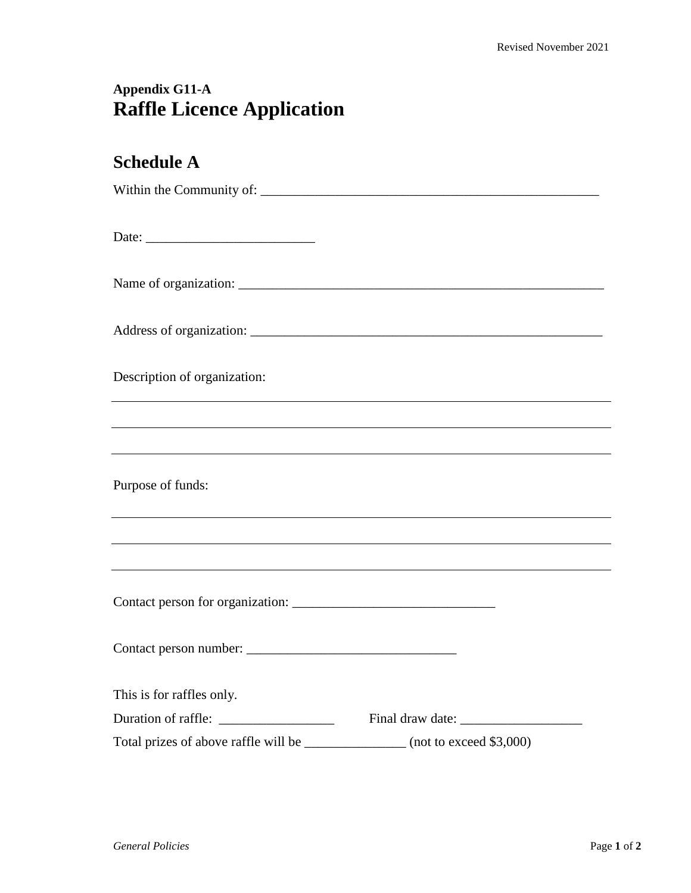## **Appendix G11-A Raffle Licence Application**

## **Schedule A**

| Description of organization:         | ,我们也不会有什么。""我们的人,我们也不会有什么?""我们的人,我们也不会有什么?""我们的人,我们也不会有什么?""我们的人,我们也不会有什么?""我们的人 |
|--------------------------------------|----------------------------------------------------------------------------------|
|                                      |                                                                                  |
|                                      |                                                                                  |
| Purpose of funds:                    |                                                                                  |
|                                      |                                                                                  |
|                                      |                                                                                  |
|                                      |                                                                                  |
| This is for raffles only.            |                                                                                  |
|                                      |                                                                                  |
| Total prizes of above raffle will be | $\frac{1}{2}$ (not to exceed \$3,000)                                            |